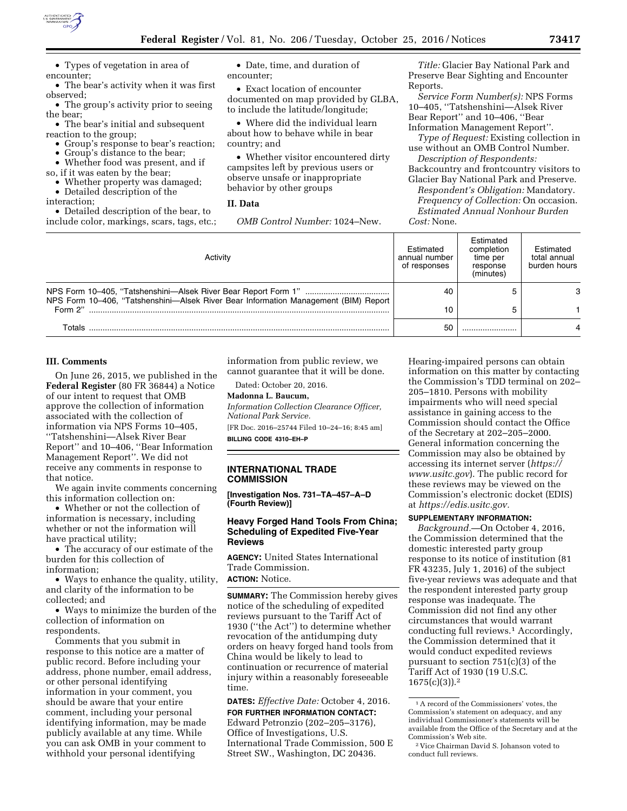

• Types of vegetation in area of encounter;

• The bear's activity when it was first observed;

• The group's activity prior to seeing the bear;

• The bear's initial and subsequent reaction to the group;

• Group's response to bear's reaction;

• Group's distance to the bear;

• Whether food was present, and if

so, if it was eaten by the bear;

• Whether property was damaged;

• Detailed description of the

interaction;

• Detailed description of the bear, to include color, markings, scars, tags, etc.;

• Date, time, and duration of encounter;

• Exact location of encounter documented on map provided by GLBA, to include the latitude/longitude;

• Where did the individual learn about how to behave while in bear country; and

• Whether visitor encountered dirty campsites left by previous users or observe unsafe or inappropriate behavior by other groups

# **II. Data**

*OMB Control Number:* 1024–New.

*Title:* Glacier Bay National Park and Preserve Bear Sighting and Encounter Reports.

*Service Form Number(s):* NPS Forms 10–405, ''Tatshenshini—Alsek River Bear Report'' and 10–406, ''Bear Information Management Report''.

*Type of Request:* Existing collection in use without an OMB Control Number.

*Description of Respondents:*  Backcountry and frontcountry visitors to

Glacier Bay National Park and Preserve. *Respondent's Obligation:* Mandatory. *Frequency of Collection:* On occasion.

*Estimated Annual Nonhour Burden Cost:* None.

| Activity                                                                            | Estimated<br>annual number<br>of responses | Estimated<br>completion<br>time per<br>response<br>(minutes) | Estimated<br>total annual<br>burden hours |
|-------------------------------------------------------------------------------------|--------------------------------------------|--------------------------------------------------------------|-------------------------------------------|
| NPS Form 10-406, "Tatshenshini-Alsek River Bear Information Management (BIM) Report | 40                                         |                                                              |                                           |
| Form 2"                                                                             | 10                                         |                                                              |                                           |
| Totals                                                                              | 50                                         |                                                              |                                           |

#### **III. Comments**

On June 26, 2015, we published in the **Federal Register** (80 FR 36844) a Notice of our intent to request that OMB approve the collection of information associated with the collection of information via NPS Forms 10–405, ''Tatshenshini—Alsek River Bear Report'' and 10–406, ''Bear Information Management Report''. We did not receive any comments in response to that notice.

We again invite comments concerning this information collection on:

• Whether or not the collection of information is necessary, including whether or not the information will have practical utility;

• The accuracy of our estimate of the burden for this collection of information;

• Ways to enhance the quality, utility, and clarity of the information to be collected; and

• Ways to minimize the burden of the collection of information on respondents.

Comments that you submit in response to this notice are a matter of public record. Before including your address, phone number, email address, or other personal identifying information in your comment, you should be aware that your entire comment, including your personal identifying information, may be made publicly available at any time. While you can ask OMB in your comment to withhold your personal identifying

information from public review, we cannot guarantee that it will be done.

Dated: October 20, 2016.

**Madonna L. Baucum,** 

*Information Collection Clearance Officer, National Park Service.* 

[FR Doc. 2016–25744 Filed 10–24–16; 8:45 am] **BILLING CODE 4310–EH–P** 

# **INTERNATIONAL TRADE**

**COMMISSION** 

**[Investigation Nos. 731–TA–457–A–D (Fourth Review)]** 

## **Heavy Forged Hand Tools From China; Scheduling of Expedited Five-Year Reviews**

**AGENCY:** United States International Trade Commission.

## **ACTION:** Notice.

**SUMMARY:** The Commission hereby gives notice of the scheduling of expedited reviews pursuant to the Tariff Act of 1930 (''the Act'') to determine whether revocation of the antidumping duty orders on heavy forged hand tools from China would be likely to lead to continuation or recurrence of material injury within a reasonably foreseeable time.

**DATES:** *Effective Date:* October 4, 2016.

## **FOR FURTHER INFORMATION CONTACT:**  Edward Petronzio (202–205–3176), Office of Investigations, U.S. International Trade Commission, 500 E Street SW., Washington, DC 20436.

Hearing-impaired persons can obtain information on this matter by contacting the Commission's TDD terminal on 202– 205–1810. Persons with mobility impairments who will need special assistance in gaining access to the Commission should contact the Office of the Secretary at 202–205–2000. General information concerning the Commission may also be obtained by accessing its internet server (*[https://](https://www.usitc.gov) [www.usitc.gov](https://www.usitc.gov)*). The public record for these reviews may be viewed on the Commission's electronic docket (EDIS) at *[https://edis.usitc.gov.](https://edis.usitc.gov)* 

## **SUPPLEMENTARY INFORMATION:**

*Background.*—On October 4, 2016, the Commission determined that the domestic interested party group response to its notice of institution (81 FR 43235, July 1, 2016) of the subject five-year reviews was adequate and that the respondent interested party group response was inadequate. The Commission did not find any other circumstances that would warrant conducting full reviews.1 Accordingly, the Commission determined that it would conduct expedited reviews pursuant to section 751(c)(3) of the Tariff Act of 1930 (19 U.S.C.  $1675(c)(3)$ ).<sup>2</sup>

<sup>1</sup>A record of the Commissioners' votes, the Commission's statement on adequacy, and any individual Commissioner's statements will be available from the Office of the Secretary and at the Commission's Web site.

<sup>2</sup> Vice Chairman David S. Johanson voted to conduct full reviews.